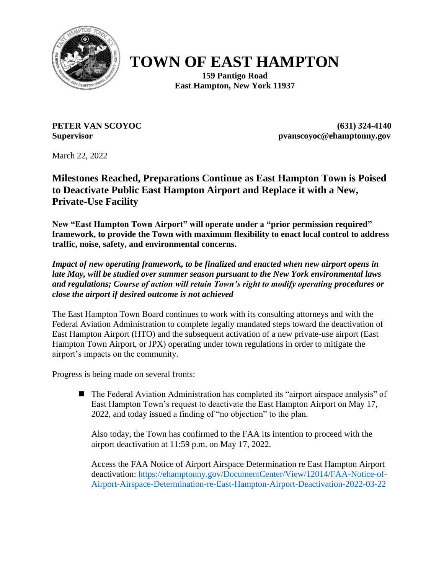

## **TOWN OF EAST HAMPTON**

**159 Pantigo Road East Hampton, New York 11937**

**PETER VAN SCOYOC (631) 324-4140 Supervisor pvanscoyoc@ehamptonny.gov**

March 22, 2022

**Milestones Reached, Preparations Continue as East Hampton Town is Poised to Deactivate Public East Hampton Airport and Replace it with a New, Private-Use Facility**

**New "East Hampton Town Airport" will operate under a "prior permission required" framework, to provide the Town with maximum flexibility to enact local control to address traffic, noise, safety, and environmental concerns.**

*Impact of new operating framework, to be finalized and enacted when new airport opens in late May, will be studied over summer season pursuant to the New York environmental laws and regulations; Course of action will retain Town's right to modify operating procedures or close the airport if desired outcome is not achieved*

The East Hampton Town Board continues to work with its consulting attorneys and with the Federal Aviation Administration to complete legally mandated steps toward the deactivation of East Hampton Airport (HTO) and the subsequent activation of a new private-use airport (East Hampton Town Airport, or JPX) operating under town regulations in order to mitigate the airport's impacts on the community.

Progress is being made on several fronts:

■ The Federal Aviation Administration has completed its "airport airspace analysis" of East Hampton Town's request to deactivate the East Hampton Airport on May 17, 2022, and today issued a finding of "no objection" to the plan.

Also today, the Town has confirmed to the FAA its intention to proceed with the airport deactivation at 11:59 p.m. on May 17, 2022.

Access the FAA Notice of Airport Airspace Determination re East Hampton Airport deactivation: [https://ehamptonny.gov/DocumentCenter/View/12014/FAA-Notice-of-](https://ehamptonny.gov/DocumentCenter/View/12014/FAA-Notice-of-Airport-Airspace-Determination-re-East-Hampton-Airport-Deactivation-2022-03-22)[Airport-Airspace-Determination-re-East-Hampton-Airport-Deactivation-2022-03-22](https://ehamptonny.gov/DocumentCenter/View/12014/FAA-Notice-of-Airport-Airspace-Determination-re-East-Hampton-Airport-Deactivation-2022-03-22)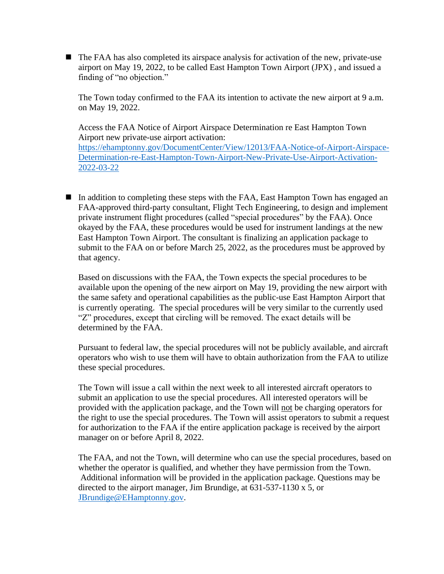■ The FAA has also completed its airspace analysis for activation of the new, private-use airport on May 19, 2022, to be called East Hampton Town Airport (JPX) , and issued a finding of "no objection."

The Town today confirmed to the FAA its intention to activate the new airport at 9 a.m. on May 19, 2022.

Access the FAA Notice of Airport Airspace Determination re East Hampton Town Airport new private-use airport activation: [https://ehamptonny.gov/DocumentCenter/View/12013/FAA-Notice-of-Airport-Airspace-](https://ehamptonny.gov/DocumentCenter/View/12013/FAA-Notice-of-Airport-Airspace-Determination-re-East-Hampton-Town-Airport-New-Private-Use-Airport-Activation-2022-03-22)[Determination-re-East-Hampton-Town-Airport-New-Private-Use-Airport-Activation-](https://ehamptonny.gov/DocumentCenter/View/12013/FAA-Notice-of-Airport-Airspace-Determination-re-East-Hampton-Town-Airport-New-Private-Use-Airport-Activation-2022-03-22)[2022-03-22](https://ehamptonny.gov/DocumentCenter/View/12013/FAA-Notice-of-Airport-Airspace-Determination-re-East-Hampton-Town-Airport-New-Private-Use-Airport-Activation-2022-03-22)

■ In addition to completing these steps with the FAA, East Hampton Town has engaged an FAA-approved third-party consultant, Flight Tech Engineering, to design and implement private instrument flight procedures (called "special procedures" by the FAA). Once okayed by the FAA, these procedures would be used for instrument landings at the new East Hampton Town Airport. The consultant is finalizing an application package to submit to the FAA on or before March 25, 2022, as the procedures must be approved by that agency.

Based on discussions with the FAA, the Town expects the special procedures to be available upon the opening of the new airport on May 19, providing the new airport with the same safety and operational capabilities as the public-use East Hampton Airport that is currently operating. The special procedures will be very similar to the currently used "Z" procedures, except that circling will be removed. The exact details will be determined by the FAA.

Pursuant to federal law, the special procedures will not be publicly available, and aircraft operators who wish to use them will have to obtain authorization from the FAA to utilize these special procedures.

The Town will issue a call within the next week to all interested aircraft operators to submit an application to use the special procedures. All interested operators will be provided with the application package, and the Town will not be charging operators for the right to use the special procedures. The Town will assist operators to submit a request for authorization to the FAA if the entire application package is received by the airport manager on or before April 8, 2022.

The FAA, and not the Town, will determine who can use the special procedures, based on whether the operator is qualified, and whether they have permission from the Town. Additional information will be provided in the application package. Questions may be directed to the airport manager, Jim Brundige, at 631-537-1130 x 5, or [JBrundige@EHamptonny.gov.](mailto:JBrundige@EHamptonny.gov)